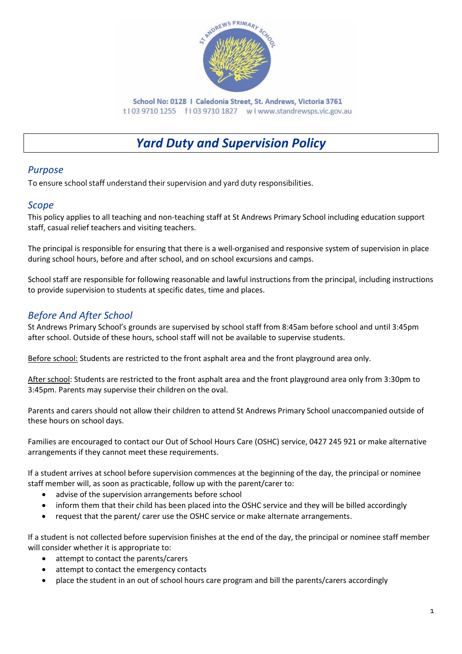

School No: 0128 | Caledonia Street, St. Andrews, Victoria 3761 t103 9710 1255 f103 9710 1827 wlwww.standrewsps.vic.gov.au

# *Yard Duty and Supervision Policy*

## *Purpose*

To ensure school staff understand their supervision and yard duty responsibilities.

#### *Scope*

This policy applies to all teaching and non-teaching staff at St Andrews Primary School including education support staff, casual relief teachers and visiting teachers.

The principal is responsible for ensuring that there is a well-organised and responsive system of supervision in place during school hours, before and after school, and on school excursions and camps.

School staff are responsible for following reasonable and lawful instructions from the principal, including instructions to provide supervision to students at specific dates, time and places.

# *Before And After School*

St Andrews Primary School's grounds are supervised by school staff from 8:45am before school and until 3:45pm after school. Outside of these hours, school staff will not be available to supervise students.

Before school: Students are restricted to the front asphalt area and the front playground area only.

After school: Students are restricted to the front asphalt area and the front playground area only from 3:30pm to 3:45pm. Parents may supervise their children on the oval.

Parents and carers should not allow their children to attend St Andrews Primary School unaccompanied outside of these hours on school days.

Families are encouraged to contact our Out of School Hours Care (OSHC) service, 0427 245 921 or make alternative arrangements if they cannot meet these requirements.

If a student arrives at school before supervision commences at the beginning of the day, the principal or nominee staff member will, as soon as practicable, follow up with the parent/carer to:

- advise of the supervision arrangements before school
- inform them that their child has been placed into the OSHC service and they will be billed accordingly
- request that the parent/ carer use the OSHC service or make alternate arrangements.

If a student is not collected before supervision finishes at the end of the day, the principal or nominee staff member will consider whether it is appropriate to:

- attempt to contact the parents/carers
- attempt to contact the emergency contacts
- place the student in an out of school hours care program and bill the parents/carers accordingly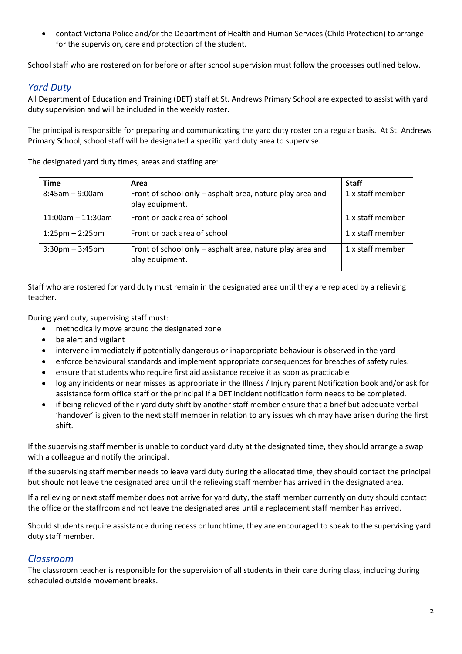• contact Victoria Police and/or the Department of Health and Human Services (Child Protection) to arrange for the supervision, care and protection of the student.

School staff who are rostered on for before or after school supervision must follow the processes outlined below.

### *Yard Duty*

All Department of Education and Training (DET) staff at St. Andrews Primary School are expected to assist with yard duty supervision and will be included in the weekly roster.

The principal is responsible for preparing and communicating the yard duty roster on a regular basis. At St. Andrews Primary School, school staff will be designated a specific yard duty area to supervise.

The designated yard duty times, areas and staffing are:

| <b>Time</b>                       | Area                                                                         | <b>Staff</b>     |
|-----------------------------------|------------------------------------------------------------------------------|------------------|
| $8:45$ am - 9:00am                | Front of school only – asphalt area, nature play area and<br>play equipment. | 1 x staff member |
| $11:00$ am - 11:30am              | Front or back area of school                                                 | 1 x staff member |
| $1:25 \text{pm} - 2:25 \text{pm}$ | Front or back area of school                                                 | 1 x staff member |
| $3:30$ pm $-3:45$ pm              | Front of school only – asphalt area, nature play area and<br>play equipment. | 1 x staff member |

Staff who are rostered for yard duty must remain in the designated area until they are replaced by a relieving teacher.

During yard duty, supervising staff must:

- methodically move around the designated zone
- be alert and vigilant
- intervene immediately if potentially dangerous or inappropriate behaviour is observed in the yard
- enforce behavioural standards and implement appropriate consequences for breaches of safety rules.
- ensure that students who require first aid assistance receive it as soon as practicable
- log any incidents or near misses as appropriate in the Illness / Injury parent Notification book and/or ask for assistance form office staff or the principal if a DET Incident notification form needs to be completed.
- if being relieved of their yard duty shift by another staff member ensure that a brief but adequate verbal 'handover' is given to the next staff member in relation to any issues which may have arisen during the first shift.

If the supervising staff member is unable to conduct yard duty at the designated time, they should arrange a swap with a colleague and notify the principal.

If the supervising staff member needs to leave yard duty during the allocated time, they should contact the principal but should not leave the designated area until the relieving staff member has arrived in the designated area.

If a relieving or next staff member does not arrive for yard duty, the staff member currently on duty should contact the office or the staffroom and not leave the designated area until a replacement staff member has arrived.

Should students require assistance during recess or lunchtime, they are encouraged to speak to the supervising yard duty staff member.

#### *Classroom*

The classroom teacher is responsible for the supervision of all students in their care during class, including during scheduled outside movement breaks.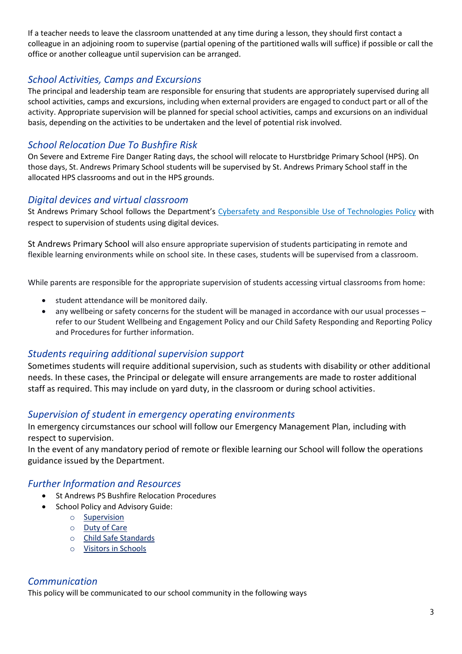If a teacher needs to leave the classroom unattended at any time during a lesson, they should first contact a colleague in an adjoining room to supervise (partial opening of the partitioned walls will suffice) if possible or call the office or another colleague until supervision can be arranged.

# *School Activities, Camps and Excursions*

The principal and leadership team are responsible for ensuring that students are appropriately supervised during all school activities, camps and excursions, including when external providers are engaged to conduct part or all of the activity. Appropriate supervision will be planned for special school activities, camps and excursions on an individual basis, depending on the activities to be undertaken and the level of potential risk involved.

# *School Relocation Due To Bushfire Risk*

On Severe and Extreme Fire Danger Rating days, the school will relocate to Hurstbridge Primary School (HPS). On those days, St. Andrews Primary School students will be supervised by St. Andrews Primary School staff in the allocated HPS classrooms and out in the HPS grounds.

## *Digital devices and virtual classroom*

St Andrews Primary School follows the Department's [Cybersafety and Responsible Use of Technologies Policy](https://www2.education.vic.gov.au/pal/cybersafety/policy) with respect to supervision of students using digital devices.

St Andrews Primary School will also ensure appropriate supervision of students participating in remote and flexible learning environments while on school site. In these cases, students will be supervised from a classroom.

While parents are responsible for the appropriate supervision of students accessing virtual classrooms from home:

- student attendance will be monitored daily.
- any wellbeing or safety concerns for the student will be managed in accordance with our usual processes refer to our Student Wellbeing and Engagement Policy and our Child Safety Responding and Reporting Policy and Procedures for further information.

### *Students requiring additional supervision support*

Sometimes students will require additional supervision, such as students with disability or other additional needs. In these cases, the Principal or delegate will ensure arrangements are made to roster additional staff as required. This may include on yard duty, in the classroom or during school activities.

### *Supervision of student in emergency operating environments*

In emergency circumstances our school will follow our Emergency Management Plan, including with respect to supervision.

In the event of any mandatory period of remote or flexible learning our School will follow the operations guidance issued by the Department.

### *Further Information and Resources*

- St Andrews PS Bushfire Relocation Procedures
- School Policy and Advisory Guide:
	- o [Supervision](http://www.education.vic.gov.au/school/principals/spag/safety/pages/supervision.aspx)
	- o [Duty of Care](http://www.education.vic.gov.au/school/principals/spag/safety/Pages/dutyofcare.aspx)
	- o [Child Safe Standards](http://www.education.vic.gov.au/school/principals/spag/safety/Pages/childsafestandards.aspx)
	- o [Visitors in Schools](http://www.education.vic.gov.au/school/principals/spag/safety/Pages/visitorsinschool.aspx)

# *Communication*

This policy will be communicated to our school community in the following ways